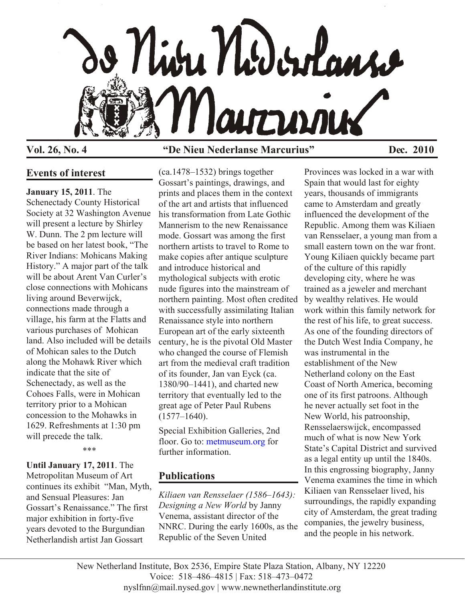

## **Vol. 26, No. 4 "De Nieu Nederlanse Marcurius" Dec. 2010**

## **Events of interest**

**January 15, 2011**. The

Schenectady County Historical Society at 32 Washington Avenue will present a lecture by Shirley W. Dunn. The 2 pm lecture will be based on her latest book, "The River Indians: Mohicans Making History." A major part of the talk will be about Arent Van Curler's close connections with Mohicans living around Beverwijck, connections made through a village, his farm at the Flatts and various purchases of Mohican land. Also included will be details of Mohican sales to the Dutch along the Mohawk River which indicate that the site of Schenectady, as well as the Cohoes Falls, were in Mohican territory prior to a Mohican concession to the Mohawks in 1629. Refreshments at 1:30 pm will precede the talk.

\*\*\*

**Until January 17, 2011**. The Metropolitan Museum of Art continues its exhibit "Man, Myth, and Sensual Pleasures: Jan Gossart's Renaissance." The first major exhibition in forty-five years devoted to the Burgundian Netherlandish artist Jan Gossart

(ca.1478–1532) brings together Gossart's paintings, drawings, and prints and places them in the context of the art and artists that influenced his transformation from Late Gothic Mannerism to the new Renaissance mode. Gossart was among the first northern artists to travel to Rome to make copies after antique sculpture and introduce historical and mythological subjects with erotic nude figures into the mainstream of northern painting. Most often credited with successfully assimilating Italian Renaissance style into northern European art of the early sixteenth century, he is the pivotal Old Master who changed the course of Flemish art from the medieval craft tradition of its founder, Jan van Eyck (ca. 1380/90–1441), and charted new territory that eventually led to the great age of Peter Paul Rubens  $(1577 - 1640)$ .

Special Exhibition Galleries, 2nd floor. Go to[: metmuseum.org f](http://www.metmuseum.org/)or further information.

# **Publications**

*Kiliaen van Rensselaer (1586–1643): Designing a New World* by Janny Venema, assistant director of the NNRC. During the early 1600s, as the Republic of the Seven United

Provinces was locked in a war with Spain that would last for eighty years, thousands of immigrants came to Amsterdam and greatly influenced the development of the Republic. Among them was Kiliaen van Rensselaer, a young man from a small eastern town on the war front. Young Kiliaen quickly became part of the culture of this rapidly developing city, where he was trained as a jeweler and merchant by wealthy relatives. He would work within this family network for the rest of his life, to great success. As one of the founding directors of the Dutch West India Company, he was instrumental in the establishment of the New Netherland colony on the East Coast of North America, becoming one of its first patroons. Although he never actually set foot in the New World, his patroonship, Rensselaerswijck, encompassed much of what is now New York State's Capital District and survived as a legal entity up until the 1840s. In this engrossing biography, Janny Venema examines the time in which Kiliaen van Rensselaer lived, his surroundings, the rapidly expanding city of Amsterdam, the great trading companies, the jewelry business, and the people in his network.

New Netherland Institute, Box 2536, Empire State Plaza Station, Albany, NY 12220 Voice: 518–486–4815 | Fax: 518–473–0472 nyslfnn@mail.nysed.gov | www.newnetherlandinstitute.org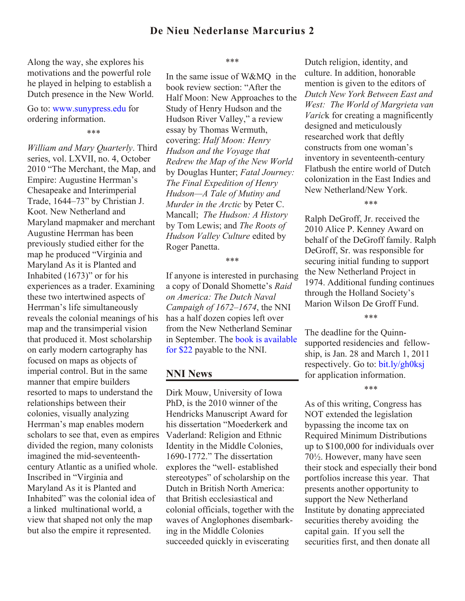Along the way, she explores his motivations and the powerful role he played in helping to establish a Dutch presence in the New World.

## Go to: [www.sunypress.edu](http://www.sunypress.edu) for ordering information.

\*\*\*

*William and Mary Quarterly*. Third series, vol. LXVII, no. 4, October 2010 "The Merchant, the Map, and Empire: Augustine Herrman's Chesapeake and Interimperial Trade, 1644–73" by Christian J. Koot. New Netherland and Maryland mapmaker and merchant Augustine Herrman has been previously studied either for the map he produced "Virginia and Maryland As it is Planted and Inhabited (1673)" or for his experiences as a trader. Examining these two intertwined aspects of Herrman's life simultaneously reveals the colonial meanings of his map and the transimperial vision that produced it. Most scholarship on early modern cartography has focused on maps as objects of imperial control. But in the same manner that empire builders resorted to maps to understand the relationships between their colonies, visually analyzing Herrman's map enables modern scholars to see that, even as empires divided the region, many colonists imagined the mid-seventeenthcentury Atlantic as a unified whole. Inscribed in "Virginia and Maryland As it is Planted and Inhabited" was the colonial idea of a linked multinational world, a view that shaped not only the map but also the empire it represented.

\*\*\*

In the same issue of W&MQ in the book review section: "After the Half Moon: New Approaches to the Study of Henry Hudson and the Hudson River Valley," a review essay by Thomas Wermuth, covering: *Half Moon: Henry Hudson and the Voyage that Redrew the Map of the New World* by Douglas Hunter; *Fatal Journey: The Final Expedition of Henry Hudson—A Tale of Mutiny and Murder in the Arctic* by Peter C. Mancall; *The Hudson: A History* by Tom Lewis; and *The Roots of Hudson Valley Culture* edited by Roger Panetta.

#### \*\*\*

If anyone is interested in purchasing a copy of Donald Shomette's *Raid on America: The Dutch Naval Campaigh of 1672–1674*, the NNI has a half dozen copies left over from the New Netherland Seminar [in September. The book is available](http://bit.ly/fp733O)  for \$22 payable to the NNI.

## **NNI News**

Dirk Mouw, University of Iowa PhD, is the 2010 winner of the Hendricks Manuscript Award for his dissertation "Moederkerk and Vaderland: Religion and Ethnic Identity in the Middle Colonies, 1690-1772." The dissertation explores the "well- established stereotypes" of scholarship on the Dutch in British North America: that British ecclesiastical and colonial officials, together with the waves of Anglophones disembarking in the Middle Colonies succeeded quickly in eviscerating

Dutch religion, identity, and culture. In addition, honorable mention is given to the editors of *Dutch New York Between East and West: The World of Margrieta van Varic*k for creating a magnificently designed and meticulously researched work that deftly constructs from one woman's inventory in seventeenth-century Flatbush the entire world of Dutch colonization in the East Indies and New Netherland/New York.

\*\*\*

Ralph DeGroff, Jr. received the 2010 Alice P. Kenney Award on behalf of the DeGroff family. Ralph DeGroff, Sr. was responsible for securing initial funding to support the New Netherland Project in 1974. Additional funding continues through the Holland Society's Marion Wilson De Groff Fund.

\*\*\*

The deadline for the Quinnsupported residencies and fellowship, is Jan. 28 and March 1, 2011 respectively. Go to: [bit.ly/gh0ksj](http://bit.ly/gh0ksj) for application information.

\*\*\*

As of this writing, Congress has NOT extended the legislation bypassing the income tax on Required Minimum Distributions up to \$100,000 for individuals over 70½. However, many have seen their stock and especially their bond portfolios increase this year. That presents another opportunity to support the New Netherland Institute by donating appreciated securities thereby avoiding the capital gain. If you sell the securities first, and then donate all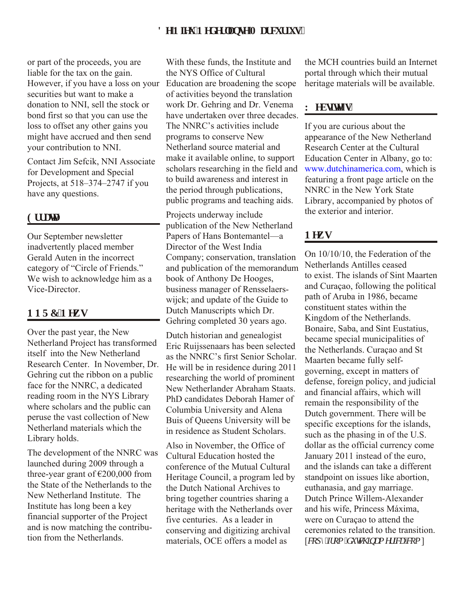## Fg'Plgw'Pgf gt mpug'O ctewt kwi5

or part of the proceeds, you are liable for the tax on the gain. However, if you have a loss on your securities but want to make a donation to NNI, sell the stock or bond first so that you can use the loss to offset any other gains you might have accrued and then send your contribution to NNI.

Contact Jim Sefcik, NNI Associate for Development and Special Projects, at 518–374–2747 if you have any questions.

#### **Gttcw**

Our September newsletter inadvertently placed member Gerald Auten in the incorrect category of "Circle of Friends." We wish to acknowledge him as a Vice-Director.

## PPTE'Pgyu

Over the past year, the New Netherland Project has transformed itself into the New Netherland Research Center. In November, Dr. Gehring cut the ribbon on a public face for the NNRC, a dedicated reading room in the NYS Library where scholars and the public can peruse the vast collection of New Netherland materials which the Library holds.

The development of the NNRC was launched during 2009 through a three-year grant of  $\epsilon$ 200,000 from the State of the Netherlands to the New Netherland Institute. The Institute has long been a key financial supporter of the Project and is now matching the contribution from the Netherlands.

With these funds, the Institute and the NYS Office of Cultural Education are broadening the scope of activities beyond the translation work Dr. Gehring and Dr. Venema have undertaken over three decades. The NNRC's activities include programs to conserve New Netherland source material and make it available online, to support scholars researching in the field and to build awareness and interest in the period through publications, public programs and teaching aids.

Projects underway include publication of the New Netherland Papers of Hans Bontemantel—a Director of the West India Company; conservation, translation and publication of the memorandum book of Anthony De Hooges, business manager of Rensselaerswijck; and update of the Guide to Dutch Manuscripts which Dr. Gehring completed 30 years ago.

Dutch historian and genealogist Eric Ruijssenaars has been selected as the NNRC's first Senior Scholar. He will be in residence during 2011 researching the world of prominent New Netherlander Abraham Staats. PhD candidates Deborah Hamer of Columbia University and Alena Buis of Queens University will be in residence as Student Scholars.

Also in November, the Office of Cultural Education hosted the conference of the Mutual Cultural Heritage Council, a program led by the Dutch National Archives to bring together countries sharing a heritage with the Netherlands over five centuries. As a leader in conserving and digitizing archival materials, OCE offers a model as

the MCH countries build an Internet portal through which their mutual heritage materials will be available.

## Y gdukg<sup>\*</sup>u+

If you are curious about the appearance of the New Netherland Research Center at the Cultural Education Center in Albany, go to: [www.dutchinamerica.com,](http://www.dutchinamerica.com) which is featuring a front page article on the NNRC in the New York State Library, accompanied by photos of the exterior and interior.

## **P**gy u

On 10/10/10, the Federation of the Netherlands Antilles ceased to exist. The islands of Sint Maarten and Curaçao, following the political path of Aruba in 1986, became constituent states within the Kingdom of the Netherlands. Bonaire, Saba, and Sint Eustatius, became special municipalities of the Netherlands. Curaçao and St Maarten became fully selfgoverning, except in matters of defense, foreign policy, and judicial and financial affairs, which will remain the responsibility of the Dutch government. There will be specific exceptions for the islands, such as the phasing in of the U.S. dollar as the official currency come January 2011 instead of the euro, and the islands can take a different standpoint on issues like abortion, euthanasia, and gay marriage. Dutch Prince Willem-Alexander and his wife, Princess Máxima, were on Curaçao to attend the ceremonies related to the transition. [*eqr* {'*h* qo 'f wej kpco gt kec (*eqo* ]